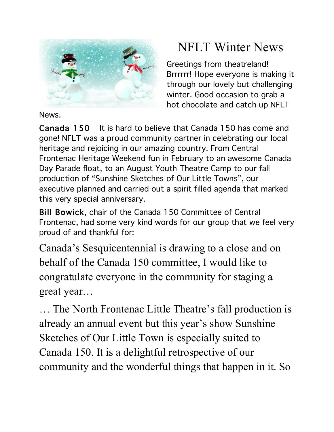

News.

# NFLT Winter News

Greetings from theatreland! Brrrrrr! Hope everyone is making it through our lovely but challenging winter. Good occasion to grab a hot chocolate and catch up NFLT

Canada 150 It is hard to believe that Canada 150 has come and gone! NFLT was a proud community partner in celebrating our local heritage and rejoicing in our amazing country. From Central Frontenac Heritage Weekend fun in February to an awesome Canada Day Parade float, to an August Youth Theatre Camp to our fall production of "Sunshine Sketches of Our Little Towns", our executive planned and carried out a spirit filled agenda that marked this very special anniversary.

Bill Bowick, chair of the Canada 150 Committee of Central Frontenac, had some very kind words for our group that we feel very proud of and thankful for:

Canada's Sesquicentennial is drawing to a close and on behalf of the Canada 150 committee, I would like to congratulate everyone in the community for staging a great year…

… The North Frontenac Little Theatre's fall production is already an annual event but this year's show Sunshine Sketches of Our Little Town is especially suited to Canada 150. It is a delightful retrospective of our community and the wonderful things that happen in it. So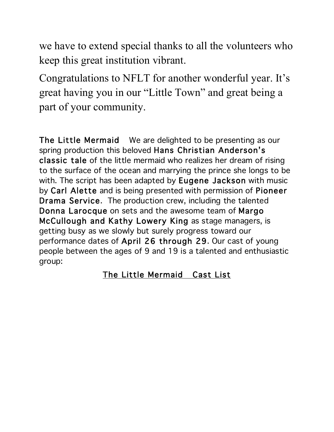we have to extend special thanks to all the volunteers who keep this great institution vibrant.

Congratulations to NFLT for another wonderful year. It's great having you in our "Little Town" and great being a part of your community.

The Little Mermaid We are delighted to be presenting as our spring production this beloved Hans Christian Anderson's classic tale of the little mermaid who realizes her dream of rising to the surface of the ocean and marrying the prince she longs to be with. The script has been adapted by **Eugene Jackson** with music by Carl Alette and is being presented with permission of Pioneer Drama Service. The production crew, including the talented Donna Larocque on sets and the awesome team of Margo McCullough and Kathy Lowery King as stage managers, is getting busy as we slowly but surely progress toward our performance dates of April 26 through 29. Our cast of young people between the ages of 9 and 19 is a talented and enthusiastic group:

# The Little Mermaid Cast List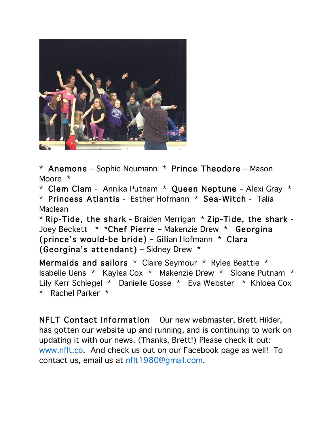

\* Anemone – Sophie Neumann \* Prince Theodore – Mason Moore \*

\* Clem Clam - Annika Putnam \* Queen Neptune – Alexi Gray \*

\* Princess Atlantis - Esther Hofmann \* Sea-Witch - Talia Maclean

\* Rip-Tide, the shark - Braiden Merrigan \* Zip-Tide, the shark - Joey Beckett \* \*Chef Pierre – Makenzie Drew \* Georgina (prince's would-be bride) – Gillian Hofmann \* Clara (Georgina's attendant) – Sidney Drew \*

Mermaids and sailors \* Claire Seymour \* Rylee Beattie \* Isabelle Uens \* Kaylea Cox \* Makenzie Drew \* Sloane Putnam \* Lily Kerr Schlegel \* Danielle Gosse \* Eva Webster \* Khloea Cox \* Rachel Parker \*

NFLT Contact Information Our new webmaster, Brett Hilder, has gotten our website up and running, and is continuing to work on updating it with our news. (Thanks, Brett!) Please check it out: www.nflt.co. And check us out on our Facebook page as well! To contact us, email us at nflt1980@gmail.com.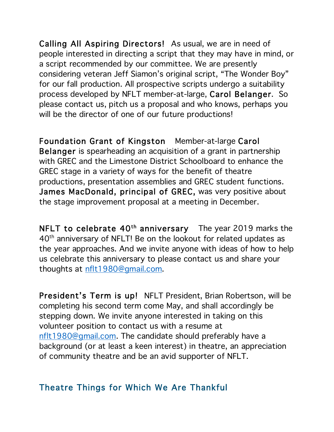Calling All Aspiring Directors! As usual, we are in need of people interested in directing a script that they may have in mind, or a script recommended by our committee. We are presently considering veteran Jeff Siamon's original script, "The Wonder Boy" for our fall production. All prospective scripts undergo a suitability process developed by NFLT member-at-large, Carol Belanger. So please contact us, pitch us a proposal and who knows, perhaps you will be the director of one of our future productions!

Foundation Grant of Kingston Member-at-large Carol Belanger is spearheading an acquisition of a grant in partnership with GREC and the Limestone District Schoolboard to enhance the GREC stage in a variety of ways for the benefit of theatre productions, presentation assemblies and GREC student functions. James MacDonald, principal of GREC, was very positive about the stage improvement proposal at a meeting in December.

NFLT to celebrate  $40<sup>th</sup>$  anniversary The year 2019 marks the 40th anniversary of NFLT! Be on the lookout for related updates as the year approaches. And we invite anyone with ideas of how to help us celebrate this anniversary to please contact us and share your thoughts at nflt1980@gmail.com.

President's Term is up! NFLT President, Brian Robertson, will be completing his second term come May, and shall accordingly be stepping down. We invite anyone interested in taking on this volunteer position to contact us with a resume at nflt1980@gmail.com. The candidate should preferably have a background (or at least a keen interest) in theatre, an appreciation of community theatre and be an avid supporter of NFLT.

## Theatre Things for Which We Are Thankful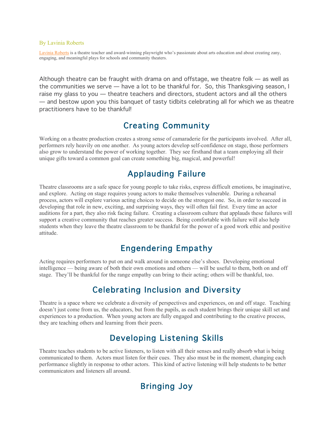#### By Lavinia Roberts

Lavinia Roberts is a theatre teacher and award-winning playwright who's passionate about arts education and about creating zany, engaging, and meaningful plays for schools and community theaters.

Although theatre can be fraught with drama on and offstage, we theatre folk — as well as the communities we serve — have a lot to be thankful for. So, this Thanksgiving season, I raise my glass to you — theatre teachers and directors, student actors and all the others — and bestow upon you this banquet of tasty tidbits celebrating all for which we as theatre practitioners have to be thankful!

#### Creating Community

Working on a theatre production creates a strong sense of camaraderie for the participants involved. After all, performers rely heavily on one another. As young actors develop self-confidence on stage, those performers also grow to understand the power of working together. They see firsthand that a team employing all their unique gifts toward a common goal can create something big, magical, and powerful!

#### Applauding Failure

Theatre classrooms are a safe space for young people to take risks, express difficult emotions, be imaginative, and explore. Acting on stage requires young actors to make themselves vulnerable. During a rehearsal process, actors will explore various acting choices to decide on the strongest one. So, in order to succeed in developing that role in new, exciting, and surprising ways, they will often fail first. Every time an actor auditions for a part, they also risk facing failure. Creating a classroom culture that applauds these failures will support a creative community that reaches greater success. Being comfortable with failure will also help students when they leave the theatre classroom to be thankful for the power of a good work ethic and positive attitude.

#### Engendering Empathy

Acting requires performers to put on and walk around in someone else's shoes. Developing emotional intelligence — being aware of both their own emotions and others — will be useful to them, both on and off stage. They'll be thankful for the range empathy can bring to their acting; others will be thankful, too.

### Celebrating Inclusion and Diversity

Theatre is a space where we celebrate a diversity of perspectives and experiences, on and off stage. Teaching doesn't just come from us, the educators, but from the pupils, as each student brings their unique skill set and experiences to a production. When young actors are fully engaged and contributing to the creative process, they are teaching others and learning from their peers.

### Developing Listening Skills

Theatre teaches students to be active listeners, to listen with all their senses and really absorb what is being communicated to them. Actors must listen for their cues. They also must be in the moment, changing each performance slightly in response to other actors. This kind of active listening will help students to be better communicators and listeners all around.

#### Bringing Joy